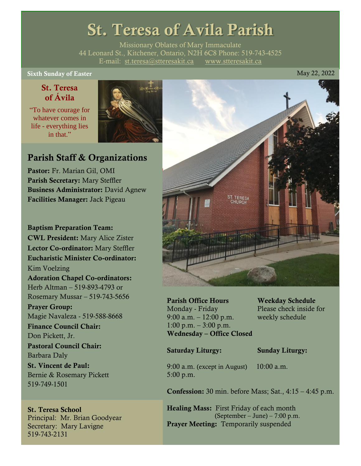# St. Teresa of Avila Parish

Missionary Oblates of Mary Immaculate 44 Leonard St., Kitchener, Ontario, N2H 6C8 Phone: 519-743-4525 E-mail: [st.teresa@stteresakit.ca](mailto:st.teresa@stteresakit.ca) [www.stteresakit.ca](http://www.stteresakit.ca/)

### Sixth Sunday of Easter May 22, 2022

### St. Teresa of Ávila

"To have courage for whatever comes in life - everything lies in that"



### Parish Staff & Organizations

Pastor: Fr. Marian Gil, OMI Parish Secretary: Mary Steffler Business Administrator: David Agnew Facilities Manager: Jack Pigeau

Baptism Preparation Team: CWL President: Mary Alice Zister Lector Co-ordinator: Mary Steffler Eucharistic Minister Co-ordinator: Kim Voelzing Adoration Chapel Co-ordinators: Herb Altman – 519-893-4793 or Rosemary Mussar – 519-743-5656 Prayer Group: Magie Navaleza - 519-588-8668 Finance Council Chair: Don Pickett, Jr. Pastoral Council Chair: Barbara Daly St. Vincent de Paul: Bernie & Rosemary Pickett 519-749-1501

St. Teresa School Principal: Mr. Brian Goodyear Secretary: Mary Lavigne 519-743-2131



Parish Office Hours Weekday Schedule Monday - Friday Please check inside for 9:00 a.m. – 12:00 p.m. weekly schedule  $1:00 \text{ p.m.} - 3:00 \text{ p.m.}$ Wednesday – Office Closed

### Saturday Liturgy: Sunday Liturgy:

9:00 a.m. (except in August) 10:00 a.m. 5:00 p.m.

Confession: 30 min. before Mass; Sat., 4:15 – 4:45 p.m.

Healing Mass: First Friday of each month (September – June) – 7:00 p.m. Prayer Meeting: Temporarily suspended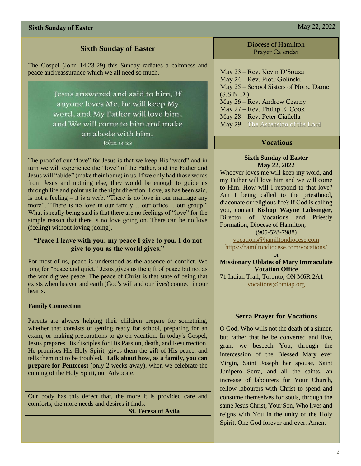### **Sixth Sunday of Easter**

The Gospel (John 14:23-29) this Sunday radiates a calmness and peace and reassurance which we all need so much.

> Jesus answered and said to him, If anyone loves Me, he will keep My word, and My Father will love him, and We will come to him and make an abode with him. John 14:23

The proof of our "love" for Jesus is that we keep His "word" and in turn we will experience the "love" of the Father, and the Father and Jesus will "abide" (make their home) in us. If we only had those words from Jesus and nothing else, they would be enough to guide us through life and point us in the right direction. Love, as has been said, is not a feeling – it is a verb. "There is no love in our marriage any more", "There is no love in our family… our office… our group." What is really being said is that there are no feelings of "love" for the simple reason that there is no love going on. There can be no love (feeling) without loving (doing).

### **"Peace I leave with you; my peace I give to you. I do not give to you as the world gives."**

For most of us, peace is understood as the absence of conflict. We long for "peace and quiet." Jesus gives us the gift of peace but not as the world gives peace. The peace of Christ is that state of being that exists when heaven and earth (God's will and our lives) connect in our hearts.

### **Family Connection**

Parents are always helping their children prepare for something, whether that consists of getting ready for school, preparing for an exam, or making preparations to go on vacation. In today's Gospel, Jesus prepares His disciples for His Passion, death, and Resurrection. He promises His Holy Spirit, gives them the gift of His peace, and tells them not to be troubled. **Talk about how, as a family, you can prepare for Pentecost** (only 2 weeks away), when we celebrate the coming of the Holy Spirit, our Advocate.

Our body has this defect that, the more it is provided care and comforts, the more needs and desires it finds**.**

 **St. Teresa of Ávila**

Diocese of Hamilton Prayer Calendar

May 23 – Rev. Kevin D'Souza May 24 – Rev. Piotr Golinski May 25 – School Sisters of Notre Dame  $(S.S.N.D.)$ May 26 – Rev. Andrew Czarny May 27 – Rev. Phillip E. Cook May 28 – Rev. Peter Ciallella May 29 – The Ascension of the Lord

### **Vocations**

### **Sixth Sunday of Easter May 22, 2022**

Whoever loves me will keep my word, and my Father will love him and we will come to Him. How will I respond to that love? Am I being called to the priesthood, diaconate or religious life? If God is calling you, contact **Bishop Wayne Lobsinger**, Director of Vocations and Priestly Formation, Diocese of Hamilton,

(905-528-7988)

[vocations@hamiltondiocese.com](mailto:vocations@hamiltondiocese.com)  <https://hamiltondiocese.com/vocations/>

or

**Missionary Oblates of Mary Immaculate Vocation Office**

71 Indian Trail, Toronto, ON M6R 2A1 [vocations@omiap.org](mailto:vocations@omiap.org)

### **Serra Prayer for Vocations**

O God, Who wills not the death of a sinner, but rather that he be converted and live, grant we beseech You, through the intercession of the Blessed Mary ever Virgin, Saint Joseph her spouse, Saint Junipero Serra, and all the saints, an increase of labourers for Your Church, fellow labourers with Christ to spend and consume themselves for souls, through the same Jesus Christ, Your Son, Who lives and reigns with You in the unity of the Holy Spirit, One God forever and ever. Amen.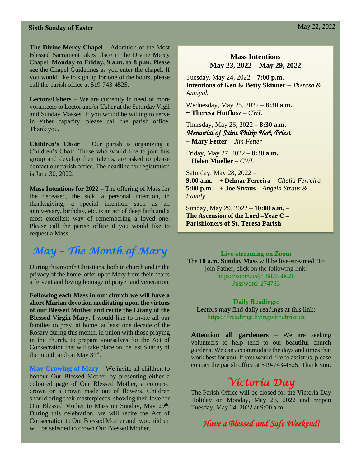**The Divine Mercy Chapel** – Adoration of the Most Blessed Sacrament takes place in the Divine Mercy Chapel, **Monday to Friday, 9 a.m. to 8 p.m.** Please see the Chapel Guidelines as you enter the chapel. If you would like to sign up for one of the hours, please call the parish office at 519-743-4525.

**Lectors/Ushers** – We are currently in need of more volunteers to Lector and/or Usher at the Saturday Vigil and Sunday Masses. If you would be willing to serve in either capacity, please call the parish office. Thank you.

**Children's Choir** – Our parish is organizing a Children's Choir. Those who would like to join this group and develop their talents, are asked to please contact our parish office. The deadline for registration is June 30, 2022.

**Mass Intentions for 2022** – The offering of Mass for the deceased, the sick, a personal intention, in thanksgiving, a special intention such as an anniversary, birthday, etc. is an act of deep faith and a most excellent way of remembering a loved one. Please call the parish office if you would like to request a Mass.

### *May – The Month of Mary*

During this month Christians, both in church and in the privacy of the home, offer up to Mary from their hearts a fervent and loving homage of prayer and veneration.

**Following each Mass in our church we will have a short Marian devotion meditating upon the virtues of our Blessed Mother and recite the Litany of the Blessed Virgin Mary.** I would like to invite all our families to pray, at home, at least one decade of the Rosary during this month, in union with those praying in the church, to prepare yourselves for the Act of Consecration that will take place on the last Sunday of the month and on May  $31^{st}$ .

**May Crowing of Mary** – We invite all children to honour Our Blessed Mother by presenting either a coloured page of Our Blessed Mother, a coloured crown or a crown made out of flowers. Children should bring their masterpieces, showing their love for Our Blessed Mother to Mass on Sunday, May 29<sup>th</sup>. During this celebration, we will recite the Act of Consecration to Our Blessed Mother and two children will be selected to crown Our Blessed Mother.

### **Mass Intentions May 23, 2022 – May 29, 2022**

Tuesday, May 24, 2022 – **7:00 p.m. Intentions of Ken & Betty Skinner** *– Theresa & Anniyah* 

Wednesday, May 25, 2022 – **8:30 a.m. + Theresa Hutflusz –** *CWL*

Thursday, May 26, 2022 – **8:30 a.m.** *Memorial of Saint Philip Neri, Priest*  **+ Mary Fetter –** *Jim Fetter*

Friday, May 27, 2022 – **8:30 a.m.** **+ Helen Mueller –** *CWL*

Saturday, May 28, 2022 – **9:00 a.m.** – **+ Delmar Ferreira –** *Citelia Ferreira* **5:00 p.m.** – **+ Joe Straus** – *Angela Straus & Family*

Sunday, May 29, 2022 – **10:00 a.m.** – **The Ascension of the Lord –Year C – Parishioners of St. Teresa Parish** 

### Live-streaming on Zoom

The **10 a.m. Sunday Mass** will be live-streamed. To join Father, click on the following link: <https://zoom.us/j/5887658626> Password: 274733

Daily Readings: Lectors may find daily readings at this link: [https://readings.livingwithchrist.ca](https://readings.livingwithchrist.ca/)

**Attention all gardeners –** We are seeking volunteers to help tend to our beautiful church gardens. We can accommodate the days and times that work best for you. If you would like to assist us, please contact the parish office at 519-743-4525. Thank you.

### *Victoria Day*

The Parish Office will be closed for the Victoria Day Holiday on Monday, May 23, 2022 and reopen Tuesday, May 24, 2022 at 9:00 a.m.

### *Have a Blessed and Safe Weekend!*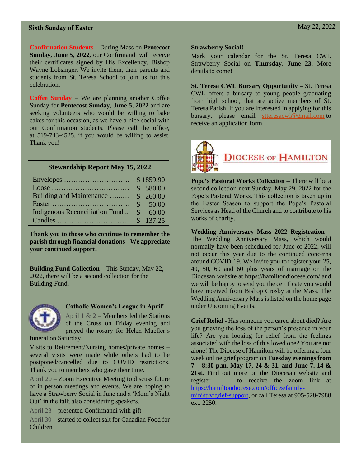**Confirmation Students** – During Mass on **Pentecost Sunday, June 5, 2022,** our Confirmandi will receive their certificates signed by His Excellency, Bishop Wayne Lobsinger. We invite them, their parents and students from St. Teresa School to join us for this celebration.

**Coffee Sunday** – We are planning another Coffee Sunday for **Pentecost Sunday, June 5, 2022** and are seeking volunteers who would be willing to bake cakes for this occasion, as we have a nice social with our Confirmation students. Please call the office, at 519-743-4525, if you would be willing to assist. Thank you!

### **Stewardship Report May 15, 2022**

|                                     | \$1859.90 |
|-------------------------------------|-----------|
|                                     | \$580.00  |
| Building and Maintenance  \$ 260.00 |           |
|                                     |           |
| Indigenous Reconciliation Fund      | \$60.00   |
|                                     | \$137.25  |

**Thank you to those who continue to remember the parish through financial donations - We appreciate your continued support!** 

**Building Fund Collection** – This Sunday, May 22, 2022, there will be a second collection for the Building Fund.



#### **Catholic Women's League in April!**

April  $1 \& 2$  – Members led the Stations of the Cross on Friday evening and prayed the rosary for Helen Mueller's

funeral on Saturday.

Visits to Retirement/Nursing homes/private homes – several visits were made while others had to be postponed/cancelled due to COVID restrictions. Thank you to members who gave their time.

April 20 – Zoom Executive Meeting to discuss future of in person meetings and events. We are hoping to have a Strawberry Social in June and a 'Mom's Night Out' in the fall; also considering speakers.

April 23 – presented Confirmandi with gift

April 30 – started to collect salt for Canadian Food for Children

### **Strawberry Social!**

Mark your calendar for the St. Teresa CWL Strawberry Social on **Thursday, June 23**. More details to come!

**St. Teresa CWL Bursary Opportunity –** St. Teresa CWL offers a bursary to young people graduating from high school, that are active members of St. Teresa Parish. If you are interested in applying for this bursary, please email [stteresacwl@gmail.com](mailto:stteresacwl@gmail.com) to receive an application form.



**Pope's Pastoral Works Collection –** There will be a second collection next Sunday, May 29, 2022 for the Pope's Pastoral Works. This collection is taken up in the Easter Season to support the Pope's Pastoral Services as Head of the Church and to contribute to his works of charity.

**Wedding Anniversary Mass 2022 Registration –** The Wedding Anniversary Mass, which would normally have been scheduled for June of 2022, will not occur this year due to the continued concerns around COVID-19. We invite you to register your 25, 40, 50, 60 and 60 plus years of marriage on the Diocesan website at https://hamiltondiocese.com/ and we will be happy to send you the certificate you would have received from Bishop Crosby at the Mass. The Wedding Anniversary Mass is listed on the home page under Upcoming Events.

**Grief Relief** - Has someone you cared about died? Are you grieving the loss of the person's presence in your life? Are you looking for relief from the feelings associated with the loss of this loved one? You are not alone! The Diocese of Hamilton will be offering a four week online grief program on **Tuesday evenings from 7 – 8:30 p.m. May 17, 24 & 31, and June 7, 14 &**  21st. Find out more on the Diocesan website and register to receive the zoom link at [https://hamiltondiocese.com/offices/family](https://hamiltondiocese.com/offices/family-ministry/grief-support)[ministry/grief-support,](https://hamiltondiocese.com/offices/family-ministry/grief-support) or call Teresa at 905-528-7988 ext. 2250.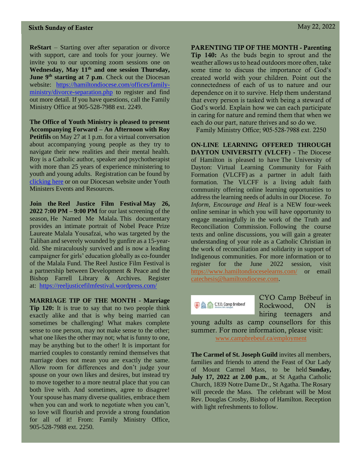**ReStart** – Starting over after separation or divorce with support, care and tools for your journey. We invite you to our upcoming zoom sessions one on **Wednesday, May 11th and one session Thursday, June 9<sup>th</sup> starting at 7 p.m.** Check out the Diocesan website: [https://hamiltondiocese.com/offices/family](https://hamiltondiocese.com/offices/family-ministry/divorce-separation.php)[ministry/divorce-separation.php](https://hamiltondiocese.com/offices/family-ministry/divorce-separation.php) to register and find out more detail. If you have questions, call the Family Ministry Office at 905-528-7988 ext. 2249.

**The Office of Youth Ministry is pleased to present Accompanying Forward – An Afternoon with Roy Petitfils** on May 27 at 1 p.m. for a virtual conversation about accompanying young people as they try to navigate their new realities and their mental health. Roy is a Catholic author, speaker and psychotherapist with more than 25 years of experience ministering to youth and young adults. Registration can be found by [clicking here](https://www.eventbrite.ca/e/accompanying-forward-an-afternoon-with-roy-petitfils-tickets-318900117837) or on our Diocesan website under Youth Ministers Events and Resources.

**Join the Reel Justice Film Festival May 26, 2022 7:00 PM – 9:00 PM** for our last screening of the season, He Named Me Malala*.* This documentary provides an intimate portrait of Nobel Peace Prize Laureate Malala Yousafzai, who was targeted by the Taliban and severely wounded by gunfire as a 15-yearold. She miraculously survived and is now a leading campaigner for girls' education globally as co-founder of the Malala Fund*.* The Reel Justice Film Festival is a partnership between Development & Peace and the Bishop Farrell Library & Archives. Register at: <https://reeljusticefilmfestival.wordpress.com/>

**MARRIAGE TIP OF THE MONTH - Marriage Tip 120:** It is true to say that no two people think exactly alike and that is why being married can sometimes be challenging! What makes complete sense to one person, may not make sense to the other; what one likes the other may not; what is funny to one, may be anything but to the other! It is important for married couples to constantly remind themselves that marriage does not mean you are exactly the same. Allow room for differences and don't judge your spouse on your own likes and desires, but instead try to move together to a more neutral place that you can both live with. And sometimes, agree to disagree! Your spouse has many diverse qualities, embrace them when you can and work to negotiate when you can't, so love will flourish and provide a strong foundation for all of it! From: Family Ministry Office, 905-528-7988 ext. 2250.

PARENTING TIP OF THE MONTH - Parenting Tip 140: As the buds begin to sprout and the weather allows us to head outdoors more often, take some time to discuss the importance of God's created world with your children. Point out the connectedness of each of us to nature and our dependence on it to survive. Help them understand that every person is tasked with being a steward of God's world. Explain how we can each participate in caring for nature and remind them that when we each do our part, nature thrives and so do we.

Family Ministry Office; 905-528-7988 ext. 2250

**ON-LINE LEARNING OFFERED THROUGH DAYTON UNIVERSITY (VLCFF) -** The Diocese of Hamilton is pleased to have The University of Dayton: Virtual Learning Community for Faith Formation (VLCFF) as a partner in adult faith formation. The VLCFF is a living adult faith community offering online learning opportunities to addressthe learning needs of adults in our Diocese. *To Inform, Encourage and Heal* is a NEW four-week online seminar in which you will have opportunity to engage meaningfully in the work of the Truth and Reconciliation Commission. Following the course texts and online discussions, you will gain a greater understanding of your role as a Catholic Christian in the work of reconciliation and solidarity in support of Indigenous communities. For more information or to register for the June 2022 session, visit <https://www.hamiltondioceselearns.com/> or email [catechesis@hamiltondiocese.com.](mailto:catechesis@hamiltondiocese.com)

◆ 公 C.Y.O. Camp Brebeuf

CYO Camp Brébeuf in Rockwood, ON is hiring teenagers and

young adults as camp counsellors for this summer. For more information, please visit: [www.campbrebeuf.ca/employment](http://www.campbrebeuf.ca/employment)

**The Carmel of St. Joseph Guild** invites all members, families and friends to attend the Feast of Our Lady of Mount Carmel Mass, to be held **Sunday, July 17, 2022 at 2.00 p.m.**, at St Agatha Catholic Church, 1839 Notre Dame Dr., St Agatha. The Rosary will precede the Mass. The celebrant will be Most Rev. Douglas Crosby, Bishop of Hamilton. Reception with light refreshments to follow.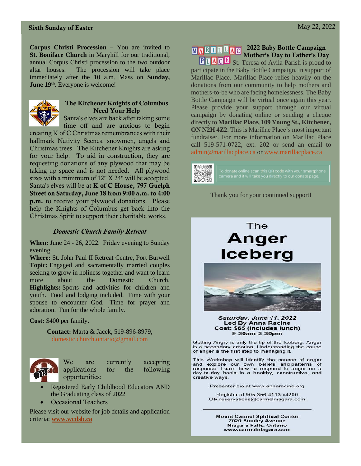**Corpus Christi Procession** – You are invited to **St. Boniface Church** in Maryhill for our traditional, annual Corpus Christi procession to the two outdoor altar houses. The procession will take place immediately after the 10 a.m. Mass on **Sunday, June 19th .** Everyone is welcome!



### The Kitchener Knights of Columbus Need Your Help

Santa's elves are back after taking some time off and are anxious to begin

creating K of C Christmas remembrances with their hallmark Nativity Scenes, snowmen, angels and Christmas trees. The Kitchener Knights are asking for your help. To aid in construction, they are requesting donations of any plywood that may be taking up space and is not needed. All plywood sizes with a minimum of 12" X 24" will be accepted. Santa's elves will be at **K** of **C** House, 797 Guelph Street on Saturday, June 18 from 9:00 a.m. to 4:00 p.m. to receive your plywood donations. Please help the Knights of Columbus get back into the Christmas Spirit to support their charitable works.

### *Domestic Church Family Retreat*

**When:** June 24 - 26, 2022. Friday evening to Sunday evening.

**Where:** St. John Paul II Retreat Centre, Port Burwell **Topic:** Engaged and sacramentally married couples seeking to grow in holiness together and want to learn more about the Domestic Church. **Highlights:** Sports and activities for children and youth. Food and lodging included. Time with your spouse to encounter God. Time for prayer and adoration. Fun for the whole family.

**Cost:** \$400 per family.

**Contact:** Marta & Jacek, 519-896-8979, [domestic.church.ontario@gmail.com](mailto:domestic.church.ontario@gmail.com)



We are currently accepting applications for the following opportunities:

- Registered Early Childhood Educators AND the Graduating class of 2022
- Occasional Teachers

Please visit our website for job details and application criteria: **[www.wcdsb.ca](http://www.wcdsb.ca/)**

### MARILLAC 2022 Baby Bottle Campaign Mother's Day to Father's Day

**PLACE** St. Teresa of Avila Parish is proud to participate in the Baby Bottle Campaign, in support of Marillac Place. Marillac Place relies heavily on the donations from our community to help mothers and mothers-to-be who are facing homelessness. The Baby Bottle Campaign will be virtual once again this year. Please provide your support through our virtual campaign by donating online or sending a cheque directly to **Marillac Place, 109 Young St., Kitchener, ON N2H 4Z2**. This is Marillac Place's most important fundraiser. For more information on Marillac Place call 519-571-0722, ext. 202 or send an email to [admin@marillacplace.ca](mailto:admin@marillacplace.ca) or [www.marillacplace.ca](http://www.marillacplace.ca/)



#### Thank you for your continued support!

## The Anger **Iceberg**



### Saturday, June 11, 2022 Led By Anna Racine<br>Cost: \$65 (includes lunch) 9:30am-3:30pm

Getting Angry is only the tip of the Iceberg. Anger<br>is a secondary emotion. Understanding the cause<br>of anger is the first step to managing it.

This Workshop will identify the causes of anger and explore our own beliefs and patterns of<br>response. Learn how to respond to anger on a day-to-day basis in a healthy, constructive, and creative ways.

Presenter bio at www.annaracine.org

Register at 905 356 4113 x4200 OR reservations@carmelniagara.com

**Mount Carmel Spiritual Center** 7020 Stanley Avenue<br>Niagara Falls, Ontario www.carmelniagara.com